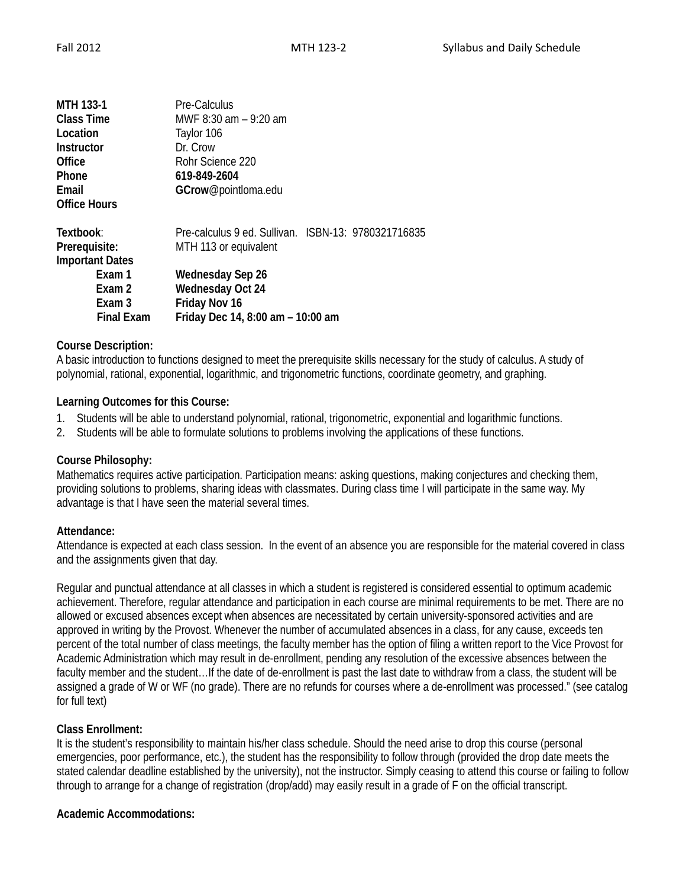| <b>MTH 133-1</b><br><b>Class Time</b><br>Location<br><b>Instructor</b><br>Office<br>Phone<br>Email | Pre-Calculus<br>MWF 8:30 am - 9:20 am<br>Taylor 106<br>Dr. Crow<br>Rohr Science 220<br>619-849-2604<br>GCrow@pointloma.edu |  |  |  |
|----------------------------------------------------------------------------------------------------|----------------------------------------------------------------------------------------------------------------------------|--|--|--|
| <b>Office Hours</b>                                                                                |                                                                                                                            |  |  |  |
| Textbook:                                                                                          | Pre-calculus 9 ed. Sullivan. ISBN-13: 9780321716835                                                                        |  |  |  |
| Prerequisite:                                                                                      | MTH 113 or equivalent                                                                                                      |  |  |  |
| <b>Important Dates</b>                                                                             |                                                                                                                            |  |  |  |
| Exam 1                                                                                             | Wednesday Sep 26                                                                                                           |  |  |  |
| Exam 2                                                                                             | <b>Wednesday Oct 24</b>                                                                                                    |  |  |  |
| Exam 3                                                                                             | Friday Nov 16                                                                                                              |  |  |  |
| <b>Final Exam</b>                                                                                  | Friday Dec 14, 8:00 am - 10:00 am                                                                                          |  |  |  |

## **Course Description:**

A basic introduction to functions designed to meet the prerequisite skills necessary for the study of calculus. A study of polynomial, rational, exponential, logarithmic, and trigonometric functions, coordinate geometry, and graphing.

#### **Learning Outcomes for this Course:**

- 1. Students will be able to understand polynomial, rational, trigonometric, exponential and logarithmic functions.
- 2. Students will be able to formulate solutions to problems involving the applications of these functions.

#### **Course Philosophy:**

Mathematics requires active participation. Participation means: asking questions, making conjectures and checking them, providing solutions to problems, sharing ideas with classmates. During class time I will participate in the same way. My advantage is that I have seen the material several times.

#### **Attendance:**

Attendance is expected at each class session. In the event of an absence you are responsible for the material covered in class and the assignments given that day.

Regular and punctual attendance at all classes in which a student is registered is considered essential to optimum academic achievement. Therefore, regular attendance and participation in each course are minimal requirements to be met. There are no allowed or excused absences except when absences are necessitated by certain university-sponsored activities and are approved in writing by the Provost. Whenever the number of accumulated absences in a class, for any cause, exceeds ten percent of the total number of class meetings, the faculty member has the option of filing a written report to the Vice Provost for Academic Administration which may result in de-enrollment, pending any resolution of the excessive absences between the faculty member and the student…If the date of de-enrollment is past the last date to withdraw from a class, the student will be assigned a grade of W or WF (no grade). There are no refunds for courses where a de-enrollment was processed." (see catalog for full text)

# **Class Enrollment:**

It is the student's responsibility to maintain his/her class schedule. Should the need arise to drop this course (personal emergencies, poor performance, etc.), the student has the responsibility to follow through (provided the drop date meets the stated calendar deadline established by the university), not the instructor. Simply ceasing to attend this course or failing to follow through to arrange for a change of registration (drop/add) may easily result in a grade of F on the official transcript.

# **Academic Accommodations:**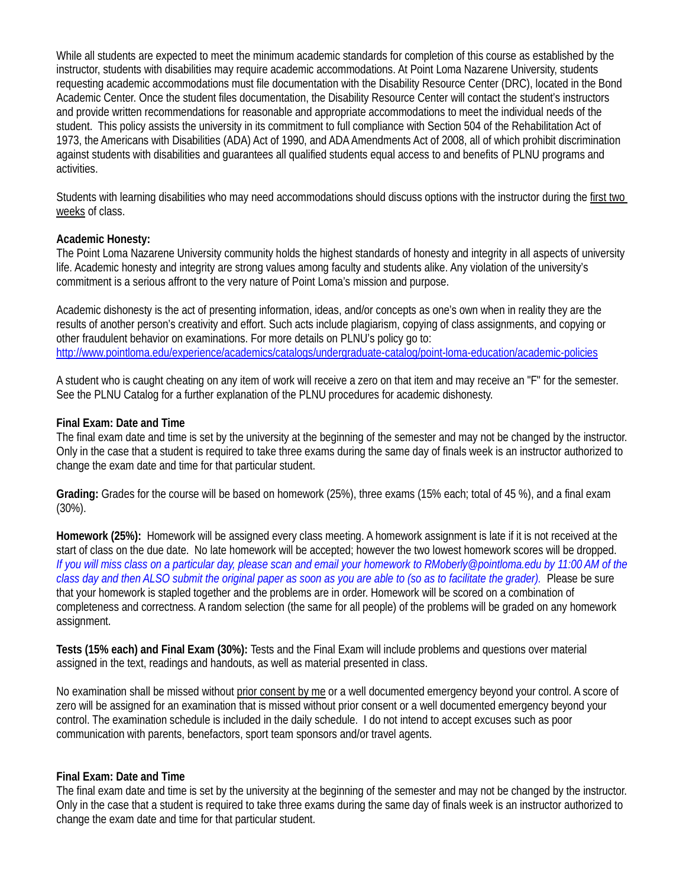While all students are expected to meet the minimum academic standards for completion of this course as established by the instructor, students with disabilities may require academic accommodations. At Point Loma Nazarene University, students requesting academic accommodations must file documentation with the Disability Resource Center (DRC), located in the Bond Academic Center. Once the student files documentation, the Disability Resource Center will contact the student's instructors and provide written recommendations for reasonable and appropriate accommodations to meet the individual needs of the student. This policy assists the university in its commitment to full compliance with Section 504 of the Rehabilitation Act of 1973, the Americans with Disabilities (ADA) Act of 1990, and ADA Amendments Act of 2008, all of which prohibit discrimination against students with disabilities and guarantees all qualified students equal access to and benefits of PLNU programs and activities.

Students with learning disabilities who may need accommodations should discuss options with the instructor during the first two weeks of class.

## **Academic Honesty:**

The Point Loma Nazarene University community holds the highest standards of honesty and integrity in all aspects of university life. Academic honesty and integrity are strong values among faculty and students alike. Any violation of the university's commitment is a serious affront to the very nature of Point Loma's mission and purpose.

Academic dishonesty is the act of presenting information, ideas, and/or concepts as one's own when in reality they are the results of another person's creativity and effort. Such acts include plagiarism, copying of class assignments, and copying or other fraudulent behavior on examinations. For more details on PLNU's policy go to: <http://www.pointloma.edu/experience/academics/catalogs/undergraduate-catalog/point-loma-education/academic-policies>

A student who is caught cheating on any item of work will receive a zero on that item and may receive an "F" for the semester. See the PLNU Catalog for a further explanation of the PLNU procedures for academic dishonesty.

## **Final Exam: Date and Time**

The final exam date and time is set by the university at the beginning of the semester and may not be changed by the instructor. Only in the case that a student is required to take three exams during the same day of finals week is an instructor authorized to change the exam date and time for that particular student.

**Grading:** Grades for the course will be based on homework (25%), three exams (15% each; total of 45 %), and a final exam (30%).

**Homework (25%):** Homework will be assigned every class meeting. A homework assignment is late if it is not received at the start of class on the due date. No late homework will be accepted; however the two lowest homework scores will be dropped. *If you will miss class on a particular day, please scan and email your homework to RMoberly@pointloma.edu by 11:00 AM of the*  class day and then ALSO submit the original paper as soon as you are able to (so as to facilitate the grader). Please be sure that your homework is stapled together and the problems are in order. Homework will be scored on a combination of completeness and correctness. A random selection (the same for all people) of the problems will be graded on any homework assignment.

**Tests (15% each) and Final Exam (30%):** Tests and the Final Exam will include problems and questions over material assigned in the text, readings and handouts, as well as material presented in class.

No examination shall be missed without prior consent by me or a well documented emergency beyond your control. A score of zero will be assigned for an examination that is missed without prior consent or a well documented emergency beyond your control. The examination schedule is included in the daily schedule. I do not intend to accept excuses such as poor communication with parents, benefactors, sport team sponsors and/or travel agents.

#### **Final Exam: Date and Time**

The final exam date and time is set by the university at the beginning of the semester and may not be changed by the instructor. Only in the case that a student is required to take three exams during the same day of finals week is an instructor authorized to change the exam date and time for that particular student.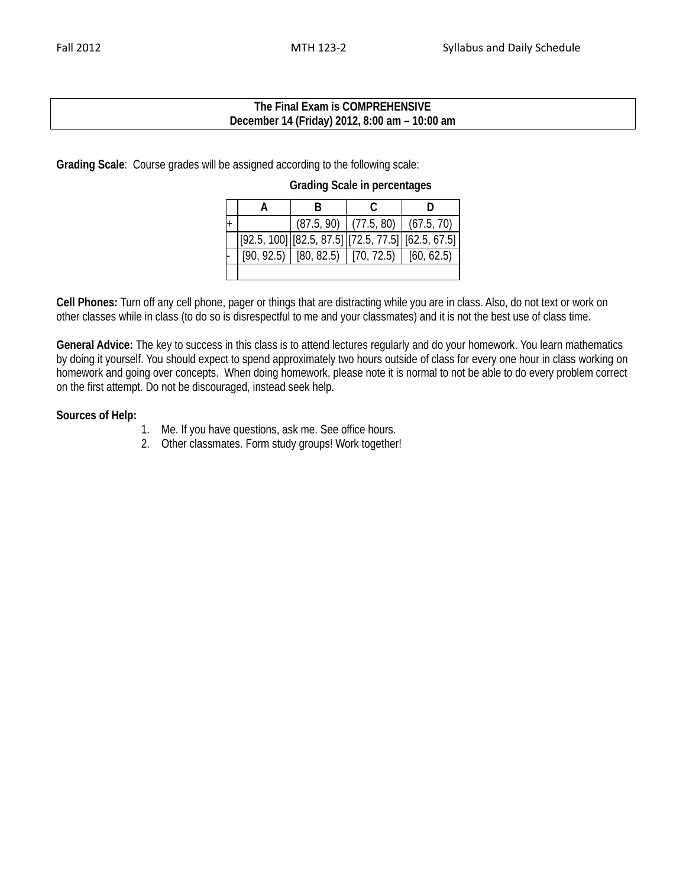### **The Final Exam is COMPREHENSIVE December 14 (Friday) 2012, 8:00 am – 10:00 am**

**Grading Scale**: Course grades will be assigned according to the following scale:

**Grading Scale in percentages**

| $^{+}$ |  | $(87.5, 90)$ (77.5, 80) (67.5, 70)                  |                                                                                                                                                                                                                          |
|--------|--|-----------------------------------------------------|--------------------------------------------------------------------------------------------------------------------------------------------------------------------------------------------------------------------------|
|        |  |                                                     | $\left\lceil \left[ 92.5, \, 100 \right] \right\rceil \left\lceil \left[ 82.5, \, 87.5 \right] \right\rceil \left\lceil \left[ 72.5, \, 77.5 \right] \right\rceil \left\lceil \left[ 62.5, \, 67.5 \right] \right\rceil$ |
|        |  | $[90, 92.5]$ $[80, 82.5]$ $[70, 72.5]$ $[60, 62.5]$ |                                                                                                                                                                                                                          |
|        |  |                                                     |                                                                                                                                                                                                                          |

**Cell Phones:** Turn off any cell phone, pager or things that are distracting while you are in class. Also, do not text or work on other classes while in class (to do so is disrespectful to me and your classmates) and it is not the best use of class time.

**General Advice:** The key to success in this class is to attend lectures regularly and do your homework. You learn mathematics by doing it yourself. You should expect to spend approximately two hours outside of class for every one hour in class working on homework and going over concepts. When doing homework, please note it is normal to not be able to do every problem correct on the first attempt. Do not be discouraged, instead seek help.

## **Sources of Help:**

- 1. Me. If you have questions, ask me. See office hours.
- 2. Other classmates. Form study groups! Work together!